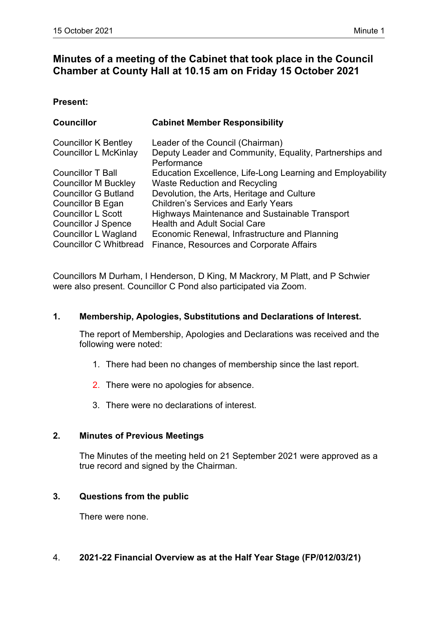# **Minutes of a meeting of the Cabinet that took place in the Council Chamber at County Hall at 10.15 am on Friday 15 October 2021**

#### **Present:**

| <b>Councillor</b>             | <b>Cabinet Member Responsibility</b>                                   |
|-------------------------------|------------------------------------------------------------------------|
| <b>Councillor K Bentley</b>   | Leader of the Council (Chairman)                                       |
| Councillor L McKinlay         | Deputy Leader and Community, Equality, Partnerships and<br>Performance |
| <b>Councillor T Ball</b>      | Education Excellence, Life-Long Learning and Employability             |
| <b>Councillor M Buckley</b>   | <b>Waste Reduction and Recycling</b>                                   |
| <b>Councillor G Butland</b>   | Devolution, the Arts, Heritage and Culture                             |
| Councillor B Egan             | <b>Children's Services and Early Years</b>                             |
| <b>Councillor L Scott</b>     | Highways Maintenance and Sustainable Transport                         |
| <b>Councillor J Spence</b>    | <b>Health and Adult Social Care</b>                                    |
| Councillor L Wagland          | Economic Renewal, Infrastructure and Planning                          |
| <b>Councillor C Whitbread</b> | Finance, Resources and Corporate Affairs                               |

Councillors M Durham, I Henderson, D King, M Mackrory, M Platt, and P Schwier were also present. Councillor C Pond also participated via Zoom.

## **1. Membership, Apologies, Substitutions and Declarations of Interest.**

The report of Membership, Apologies and Declarations was received and the following were noted:

- 1. There had been no changes of membership since the last report.
- 2. There were no apologies for absence.
- 3. There were no declarations of interest.

## **2. Minutes of Previous Meetings**

The Minutes of the meeting held on 21 September 2021 were approved as a true record and signed by the Chairman.

## **3. Questions from the public**

There were none.

## 4. **202122 Financial Overview as at the Half Year Stage (FP/012/03/21)**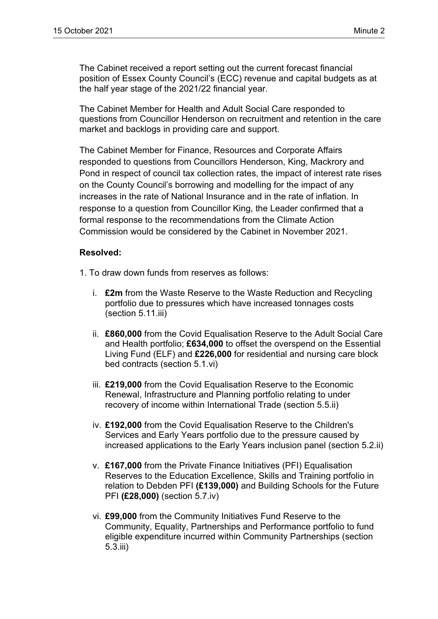The Cabinet received a report setting out the current forecast financial position of Essex County Council's (ECC) revenue and capital budgets as at the half year stage of the 2021/22 financial year.

The Cabinet Member for Health and Adult Social Care responded to questions from Councillor Henderson on recruitment and retention in the care market and backlogs in providing care and support.

The Cabinet Member for Finance, Resources and Corporate Affairs responded to questions from Councillors Henderson, King, Mackrory and Pond in respect of council tax collection rates, the impact of interest rate rises on the County Council's borrowing and modelling for the impact of any increases in the rate of National Insurance and in the rate of inflation. In response to a question from Councillor King, the Leader confirmed that a formal response to the recommendations from the Climate Action Commission would be considered by the Cabinet in November 2021.

## **Resolved:**

- 1. To draw down funds from reserves as follows:
	- i. **£2m** from the Waste Reserve to the Waste Reduction and Recycling portfolio due to pressures which have increased tonnages costs (section 5.11.iii)
	- ii. **£860,000** from the Covid Equalisation Reserve to the Adult Social Care and Health portfolio; **£634,000** to offset the overspend on the Essential Living Fund (ELF) and **£226,000** for residential and nursing care block bed contracts (section 5.1.vi)
	- iii. **£219,000** from the Covid Equalisation Reserve to the Economic Renewal, Infrastructure and Planning portfolio relating to under recovery of income within International Trade (section 5.5.ii)
	- iv. **£192,000** from the Covid Equalisation Reserve to the Children's Services and Early Years portfolio due to the pressure caused by increased applications to the Early Years inclusion panel (section 5.2.ii)
	- v. **£167,000** from the Private Finance Initiatives (PFI) Equalisation Reserves to the Education Excellence, Skills and Training portfolio in relation to Debden PFI **(£139,000)** and Building Schools for the Future PFI **(£28,000)** (section 5.7.iv)
	- vi. **£99,000** from the Community Initiatives Fund Reserve to the Community, Equality, Partnerships and Performance portfolio to fund eligible expenditure incurred within Community Partnerships (section 5.3.iii)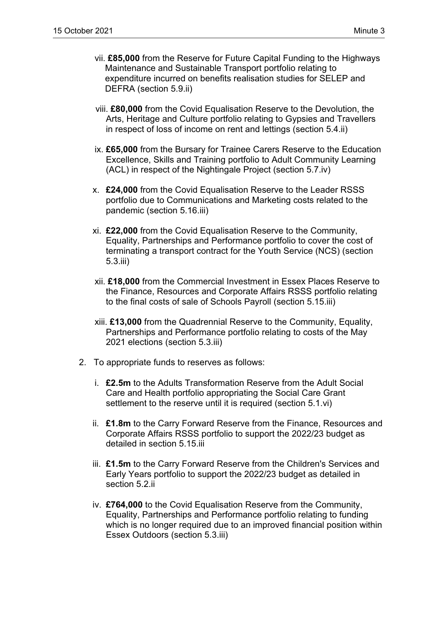- vii. **£85,000** from the Reserve for Future Capital Funding to the Highways Maintenance and Sustainable Transport portfolio relating to expenditure incurred on benefits realisation studies for SELEP and DEFRA (section 5.9.ii)
- viii. **£80,000** from the Covid Equalisation Reserve to the Devolution, the Arts, Heritage and Culture portfolio relating to Gypsies and Travellers in respect of loss of income on rent and lettings (section 5.4.ii)
- ix. **£65,000** from the Bursary for Trainee Carers Reserve to the Education Excellence, Skills and Training portfolio to Adult Community Learning (ACL) in respect of the Nightingale Project (section 5.7.iv)
- x. **£24,000** from the Covid Equalisation Reserve to the Leader RSSS portfolio due to Communications and Marketing costs related to the pandemic (section 5.16.iii)
- xi. **£22,000** from the Covid Equalisation Reserve to the Community, Equality, Partnerships and Performance portfolio to cover the cost of terminating a transport contract for the Youth Service (NCS) (section 5.3.iii)
- xii. **£18,000** from the Commercial Investment in Essex Places Reserve to the Finance, Resources and Corporate Affairs RSSS portfolio relating to the final costs of sale of Schools Payroll (section 5.15.iii)
- xiii. **£13,000** from the Quadrennial Reserve to the Community, Equality, Partnerships and Performance portfolio relating to costs of the May 2021 elections (section 5.3.iii)
- 2. To appropriate funds to reserves as follows:
	- i. **£2.5m** to the Adults Transformation Reserve from the Adult Social Care and Health portfolio appropriating the Social Care Grant settlement to the reserve until it is required (section 5.1.vi)
	- ii. **£1.8m** to the Carry Forward Reserve from the Finance, Resources and Corporate Affairs RSSS portfolio to support the 2022/23 budget as detailed in section 5.15.iii
	- iii. **£1.5m** to the Carry Forward Reserve from the Children's Services and Early Years portfolio to support the 2022/23 budget as detailed in section 5.2.ii
	- iv. **£764,000** to the Covid Equalisation Reserve from the Community, Equality, Partnerships and Performance portfolio relating to funding which is no longer required due to an improved financial position within Essex Outdoors (section 5.3.iii)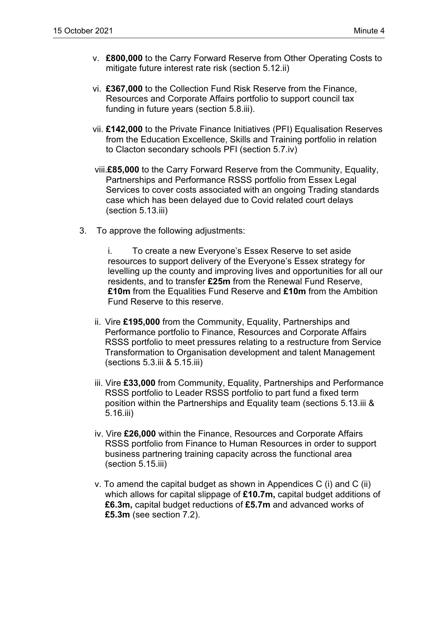- v. **£800,000** to the Carry Forward Reserve from Other Operating Costs to mitigate future interest rate risk (section 5.12.ii)
- vi. **£367,000** to the Collection Fund Risk Reserve from the Finance, Resources and Corporate Affairs portfolio to support council tax funding in future years (section 5.8.iii).
- vii. **£142,000** to the Private Finance Initiatives (PFI) Equalisation Reserves from the Education Excellence, Skills and Training portfolio in relation to Clacton secondary schools PFI (section 5.7.iv)
- viii.**£85,000** to the Carry Forward Reserve from the Community, Equality, Partnerships and Performance RSSS portfolio from Essex Legal Services to cover costs associated with an ongoing Trading standards case which has been delayed due to Covid related court delays (section 5.13.iii)
- 3. To approve the following adjustments:

i. To create a new Everyone's Essex Reserve to set aside resources to support delivery of the Everyone's Essex strategy for levelling up the county and improving lives and opportunities for all our residents, and to transfer **£25m** from the Renewal Fund Reserve, **£10m** from the Equalities Fund Reserve and **£10m** from the Ambition Fund Reserve to this reserve.

- ii. Vire **£195,000** from the Community, Equality, Partnerships and Performance portfolio to Finance, Resources and Corporate Affairs RSSS portfolio to meet pressures relating to a restructure from Service Transformation to Organisation development and talent Management (sections 5.3.iii & 5.15.iii)
- iii. Vire **£33,000** from Community, Equality, Partnerships and Performance RSSS portfolio to Leader RSSS portfolio to part fund a fixed term position within the Partnerships and Equality team (sections 5.13.iii & 5.16.iii)
- iv. Vire **£26,000** within the Finance, Resources and Corporate Affairs RSSS portfolio from Finance to Human Resources in order to support business partnering training capacity across the functional area (section 5.15.iii)
- v. To amend the capital budget as shown in Appendices C (i) and C (ii) which allows for capital slippage of **£10.7m,** capital budget additions of **£6.3m,** capital budget reductions of **£5.7m** and advanced works of **£5.3m** (see section 7.2).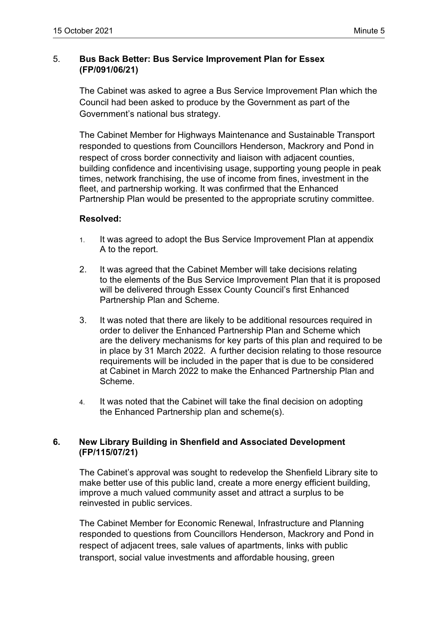# 5. **Bus Back Better: Bus Service Improvement Plan for Essex (FP/091/06/21)**

The Cabinet was asked to agree a Bus Service Improvement Plan which the Council had been asked to produce by the Government as part of the Government's national bus strategy.

The Cabinet Member for Highways Maintenance and Sustainable Transport responded to questions from Councillors Henderson, Mackrory and Pond in respect of cross border connectivity and liaison with adjacent counties, building confidence and incentivising usage, supporting young people in peak times, network franchising, the use of income from fines, investment in the fleet, and partnership working. It was confirmed that the Enhanced Partnership Plan would be presented to the appropriate scrutiny committee.

## **Resolved:**

- 1. It was agreed to adopt the Bus Service Improvement Plan at appendix A to the report.
- 2. It was agreed that the Cabinet Member will take decisions relating to the elements of the Bus Service Improvement Plan that it is proposed will be delivered through Essex County Council's first Enhanced Partnership Plan and Scheme.
- 3. It was noted that there are likely to be additional resources required in order to deliver the Enhanced Partnership Plan and Scheme which are the delivery mechanisms for key parts of this plan and required to be in place by 31 March 2022. A further decision relating to those resource requirements will be included in the paper that is due to be considered at Cabinet in March 2022 to make the Enhanced Partnership Plan and Scheme.
- 4. It was noted that the Cabinet will take the final decision on adopting the Enhanced Partnership plan and scheme(s).

## **6. New Library Building in Shenfield and Associated Development (FP/115/07/21)**

The Cabinet's approval was sought to redevelop the Shenfield Library site to make better use of this public land, create a more energy efficient building, improve a much valued community asset and attract a surplus to be reinvested in public services.

The Cabinet Member for Economic Renewal, Infrastructure and Planning responded to questions from Councillors Henderson, Mackrory and Pond in respect of adjacent trees, sale values of apartments, links with public transport, social value investments and affordable housing, green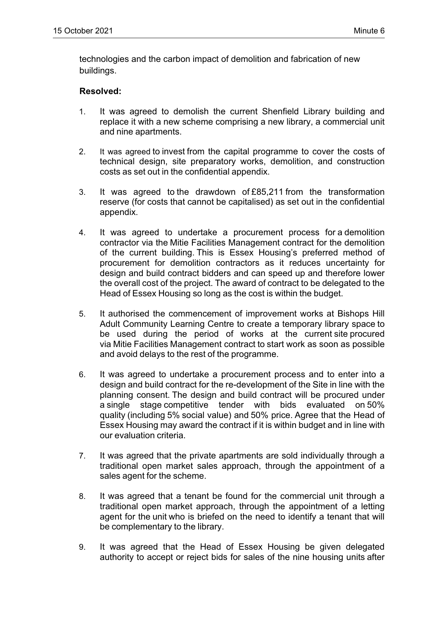technologies and the carbon impact of demolition and fabrication of new buildings.

#### **Resolved:**

- 1. It was agreed to demolish the current Shenfield Library building and replace it with a new scheme comprising a new library, a commercial unit and nine apartments.
- 2. It was agreed to invest from the capital programme to cover the costs of technical design, site preparatory works, demolition, and construction costs as set out in the confidential appendix.
- 3. It was agreed to the drawdown of £85,211 from the transformation reserve (for costs that cannot be capitalised) as set out in the confidential appendix.
- 4. It was agreed to undertake a procurement process for a demolition contractor via the Mitie Facilities Management contract for the demolition of the current building. This is Essex Housing's preferred method of procurement for demolition contractors as it reduces uncertainty for design and build contract bidders and can speed up and therefore lower the overall cost of the project. The award of contract to be delegated to the Head of Essex Housing so long as the cost is within the budget.
- 5. It authorised the commencement of improvement works at Bishops Hill Adult Community Learning Centre to create a temporary library space to be used during the period of works at the current site procured via Mitie Facilities Management contract to start work as soon as possible and avoid delays to the rest of the programme.
- 6. It was agreed to undertake a procurement process and to enter into a design and build contract for the re-development of the Site in line with the planning consent. The design and build contract will be procured under a single stage competitive tender with bids evaluated on 50% quality (including 5% social value) and 50% price. Agree that the Head of Essex Housing may award the contract if it is within budget and in line with our evaluation criteria.
- 7. It was agreed that the private apartments are sold individually through a traditional open market sales approach, through the appointment of a sales agent for the scheme.
- 8. It was agreed that a tenant be found for the commercial unit through a traditional open market approach, through the appointment of a letting agent for the unit who is briefed on the need to identify a tenant that will be complementary to the library.
- 9. It was agreed that the Head of Essex Housing be given delegated authority to accept or reject bids for sales of the nine housing units after